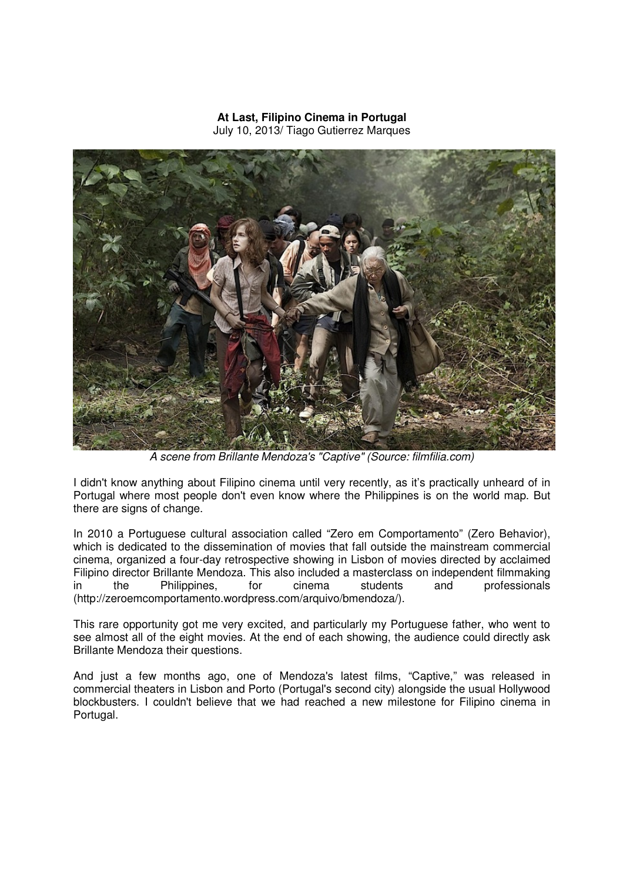## **At Last, Filipino Cinema in Portugal**  July 10, 2013/ Tiago Gutierrez Marques



A scene from Brillante Mendoza's "Captive" (Source: filmfilia.com)

I didn't know anything about Filipino cinema until very recently, as it's practically unheard of in Portugal where most people don't even know where the Philippines is on the world map. But there are signs of change.

In 2010 a Portuguese cultural association called "Zero em Comportamento" (Zero Behavior), which is dedicated to the dissemination of movies that fall outside the mainstream commercial cinema, organized a four-day retrospective showing in Lisbon of movies directed by acclaimed Filipino director Brillante Mendoza. This also included a masterclass on independent filmmaking in the Philippines, for cinema students and professionals (http://zeroemcomportamento.wordpress.com/arquivo/bmendoza/).

This rare opportunity got me very excited, and particularly my Portuguese father, who went to see almost all of the eight movies. At the end of each showing, the audience could directly ask Brillante Mendoza their questions.

And just a few months ago, one of Mendoza's latest films, "Captive," was released in commercial theaters in Lisbon and Porto (Portugal's second city) alongside the usual Hollywood blockbusters. I couldn't believe that we had reached a new milestone for Filipino cinema in Portugal.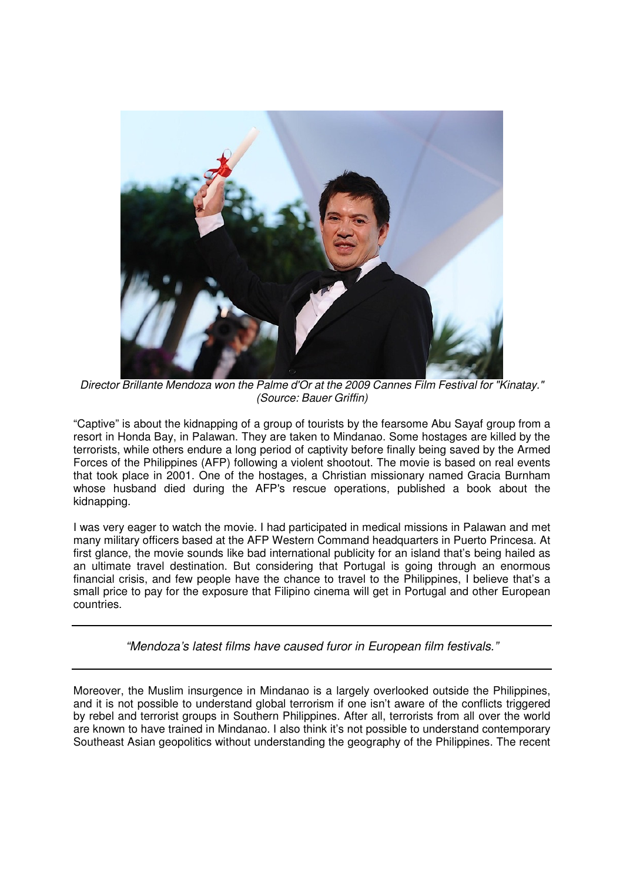

Director Brillante Mendoza won the Palme d'Or at the 2009 Cannes Film Festival for "Kinatay." (Source: Bauer Griffin)

"Captive" is about the kidnapping of a group of tourists by the fearsome Abu Sayaf group from a resort in Honda Bay, in Palawan. They are taken to Mindanao. Some hostages are killed by the terrorists, while others endure a long period of captivity before finally being saved by the Armed Forces of the Philippines (AFP) following a violent shootout. The movie is based on real events that took place in 2001. One of the hostages, a Christian missionary named Gracia Burnham whose husband died during the AFP's rescue operations, published a book about the kidnapping.

I was very eager to watch the movie. I had participated in medical missions in Palawan and met many military officers based at the AFP Western Command headquarters in Puerto Princesa. At first glance, the movie sounds like bad international publicity for an island that's being hailed as an ultimate travel destination. But considering that Portugal is going through an enormous financial crisis, and few people have the chance to travel to the Philippines, I believe that's a small price to pay for the exposure that Filipino cinema will get in Portugal and other European countries.

"Mendoza's latest films have caused furor in European film festivals."

Moreover, the Muslim insurgence in Mindanao is a largely overlooked outside the Philippines, and it is not possible to understand global terrorism if one isn't aware of the conflicts triggered by rebel and terrorist groups in Southern Philippines. After all, terrorists from all over the world are known to have trained in Mindanao. I also think it's not possible to understand contemporary Southeast Asian geopolitics without understanding the geography of the Philippines. The recent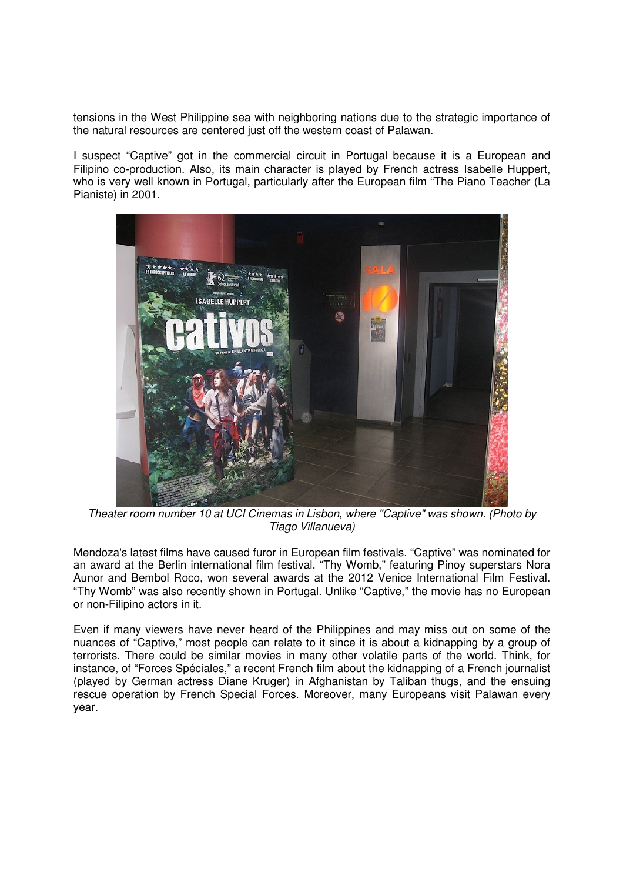tensions in the West Philippine sea with neighboring nations due to the strategic importance of the natural resources are centered just off the western coast of Palawan.

I suspect "Captive" got in the commercial circuit in Portugal because it is a European and Filipino co-production. Also, its main character is played by French actress Isabelle Huppert, who is very well known in Portugal, particularly after the European film "The Piano Teacher (La Pianiste) in 2001.



Theater room number 10 at UCI Cinemas in Lisbon, where "Captive" was shown. (Photo by Tiago Villanueva)

Mendoza's latest films have caused furor in European film festivals. "Captive" was nominated for an award at the Berlin international film festival. "Thy Womb," featuring Pinoy superstars Nora Aunor and Bembol Roco, won several awards at the 2012 Venice International Film Festival. "Thy Womb" was also recently shown in Portugal. Unlike "Captive," the movie has no European or non-Filipino actors in it.

Even if many viewers have never heard of the Philippines and may miss out on some of the nuances of "Captive," most people can relate to it since it is about a kidnapping by a group of terrorists. There could be similar movies in many other volatile parts of the world. Think, for instance, of "Forces Spéciales," a recent French film about the kidnapping of a French journalist (played by German actress Diane Kruger) in Afghanistan by Taliban thugs, and the ensuing rescue operation by French Special Forces. Moreover, many Europeans visit Palawan every year.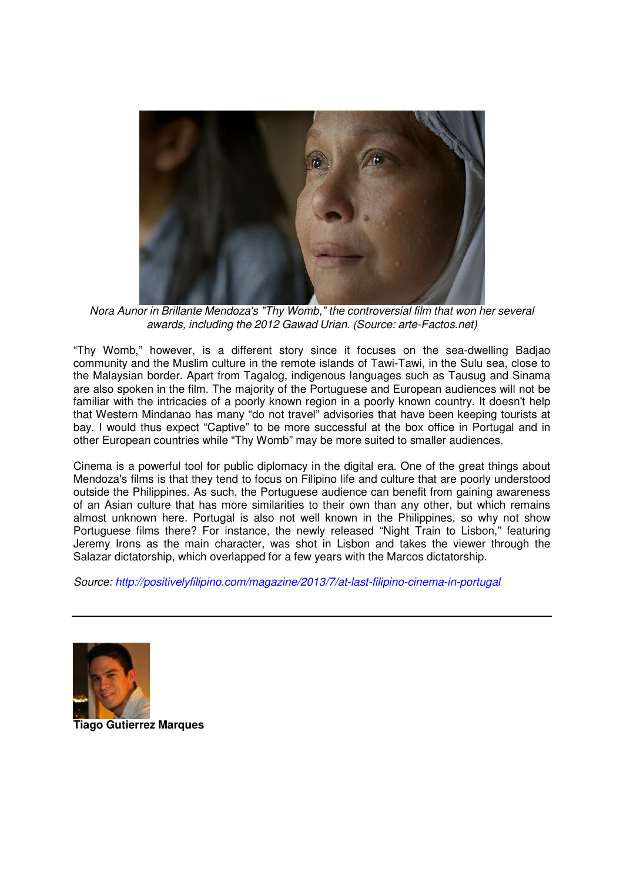

Nora Aunor in Brillante Mendoza's "Thy Womb," the controversial film that won her several awards, including the 2012 Gawad Urian. (Source: arte-Factos.net)

"Thy Womb," however, is a different story since it focuses on the sea-dwelling Badjao community and the Muslim culture in the remote islands of Tawi-Tawi, in the Sulu sea, close to the Malaysian border. Apart from Tagalog, indigenous languages such as Tausug and Sinama are also spoken in the film. The majority of the Portuguese and European audiences will not be familiar with the intricacies of a poorly known region in a poorly known country. It doesn't help that Western Mindanao has many "do not travel" advisories that have been keeping tourists at bay. I would thus expect "Captive" to be more successful at the box office in Portugal and in other European countries while "Thy Womb" may be more suited to smaller audiences.

Cinema is a powerful tool for public diplomacy in the digital era. One of the great things about Mendoza's films is that they tend to focus on Filipino life and culture that are poorly understood outside the Philippines. As such, the Portuguese audience can benefit from gaining awareness of an Asian culture that has more similarities to their own than any other, but which remains almost unknown here. Portugal is also not well known in the Philippines, so why not show Portuguese films there? For instance, the newly released "Night Train to Lisbon," featuring Jeremy Irons as the main character, was shot in Lisbon and takes the viewer through the Salazar dictatorship, which overlapped for a few years with the Marcos dictatorship.

Source: http://positivelyfilipino.com/magazine/2013/7/at-last-filipino-cinema-in-portugal



**Tiago Gutierrez Marques**